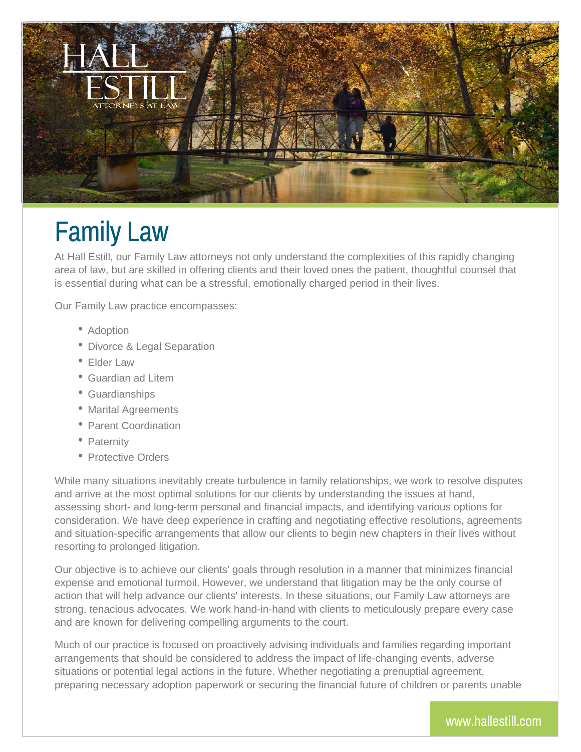

## Family Law

At Hall Estill, our Family Law attorneys not only understand the complexities of this rapidly changing area of law, but are skilled in offering clients and their loved ones the patient, thoughtful counsel that is essential during what can be a stressful, emotionally charged period in their lives.

Our Family Law practice encompasses:

- Adoption
- Divorce & Legal Separation
- Elder Law
- Guardian ad Litem
- Guardianships
- Marital Agreements
- Parent Coordination
- Paternity
- Protective Orders

While many situations inevitably create turbulence in family relationships, we work to resolve disputes and arrive at the most optimal solutions for our clients by understanding the issues at hand, assessing short- and long-term personal and financial impacts, and identifying various options for consideration. We have deep experience in crafting and negotiating effective resolutions, agreements and situation-specific arrangements that allow our clients to begin new chapters in their lives without resorting to prolonged litigation.

Our objective is to achieve our clients' goals through resolution in a manner that minimizes financial expense and emotional turmoil. However, we understand that litigation may be the only course of action that will help advance our clients' interests. In these situations, our Family Law attorneys are strong, tenacious advocates. We work hand-in-hand with clients to meticulously prepare every case and are known for delivering compelling arguments to the court.

Much of our practice is focused on proactively advising individuals and families regarding important arrangements that should be considered to address the impact of life-changing events, adverse situations or potential legal actions in the future. Whether negotiating a prenuptial agreement, preparing necessary adoption paperwork or securing the financial future of children or parents unable